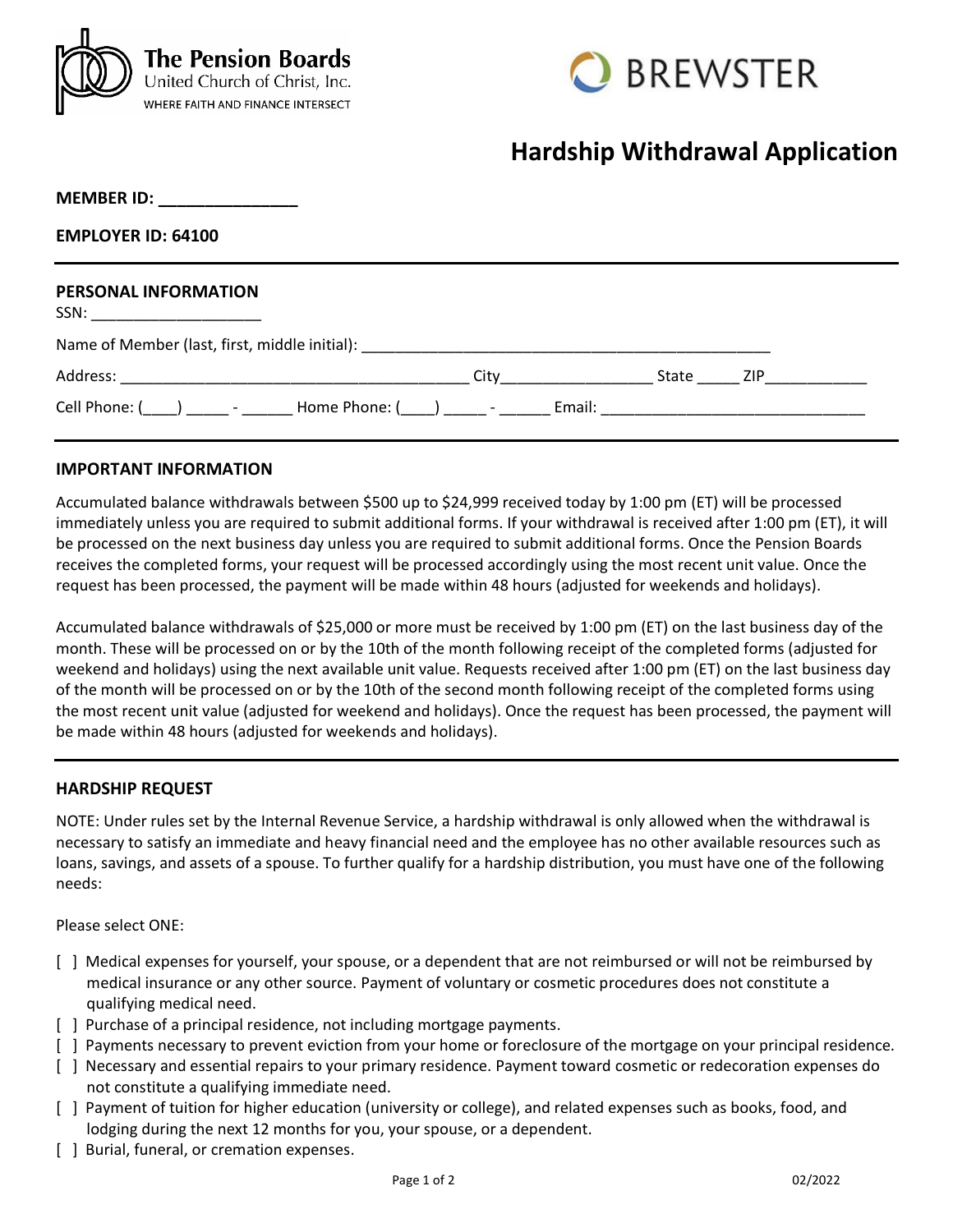



## **Hardship Withdrawal Application**

| <b>MEMBER ID:</b> |  |  |  |
|-------------------|--|--|--|
|                   |  |  |  |

**EMPLOYER ID: 64100**

# **PERSONAL INFORMATION**  $SSN:$ Name of Member (last, first, middle initial): \_\_\_\_\_\_\_\_\_\_\_\_\_\_\_\_\_\_\_\_\_\_\_\_\_\_\_\_\_\_\_\_\_\_ Address: \_\_\_\_\_\_\_\_\_\_\_\_\_\_\_\_\_\_\_\_\_\_\_\_\_\_\_\_\_\_\_\_\_\_\_\_\_\_\_\_\_ City\_\_\_\_\_\_\_\_\_\_\_\_\_\_\_\_\_\_ State \_\_\_\_\_ ZIP\_\_\_\_\_\_\_\_\_\_\_\_ Cell Phone: (\\_\_\_\_) \_\_\_\_\_\_ - \_\_\_\_\_\_\_\_ Home Phone: (\\_\_\_\_) \_\_\_\_\_\_ - \_\_\_\_\_\_\_ Email: \_\_\_\_\_\_\_\_\_\_\_\_\_\_\_\_\_

#### **IMPORTANT INFORMATION**

Accumulated balance withdrawals between \$500 up to \$24,999 received today by 1:00 pm (ET) will be processed immediately unless you are required to submit additional forms. If your withdrawal is received after 1:00 pm (ET), it will be processed on the next business day unless you are required to submit additional forms. Once the Pension Boards receives the completed forms, your request will be processed accordingly using the most recent unit value. Once the request has been processed, the payment will be made within 48 hours (adjusted for weekends and holidays).

Accumulated balance withdrawals of \$25,000 or more must be received by 1:00 pm (ET) on the last business day of the month. These will be processed on or by the 10th of the month following receipt of the completed forms (adjusted for weekend and holidays) using the next available unit value. Requests received after 1:00 pm (ET) on the last business day of the month will be processed on or by the 10th of the second month following receipt of the completed forms using the most recent unit value (adjusted for weekend and holidays). Once the request has been processed, the payment will be made within 48 hours (adjusted for weekends and holidays).

#### **HARDSHIP REQUEST**

NOTE: Under rules set by the Internal Revenue Service, a hardship withdrawal is only allowed when the withdrawal is necessary to satisfy an immediate and heavy financial need and the employee has no other available resources such as loans, savings, and assets of a spouse. To further qualify for a hardship distribution, you must have one of the following needs:

Please select ONE:

- [ ] Medical expenses for yourself, your spouse, or a dependent that are not reimbursed or will not be reimbursed by medical insurance or any other source. Payment of voluntary or cosmetic procedures does not constitute a qualifying medical need.
- [ ] Purchase of a principal residence, not including mortgage payments.
- [ ] Payments necessary to prevent eviction from your home or foreclosure of the mortgage on your principal residence.
- [ ] Necessary and essential repairs to your primary residence. Payment toward cosmetic or redecoration expenses do not constitute a qualifying immediate need.
- [ ] Payment of tuition for higher education (university or college), and related expenses such as books, food, and lodging during the next 12 months for you, your spouse, or a dependent.
- [ ] Burial, funeral, or cremation expenses.